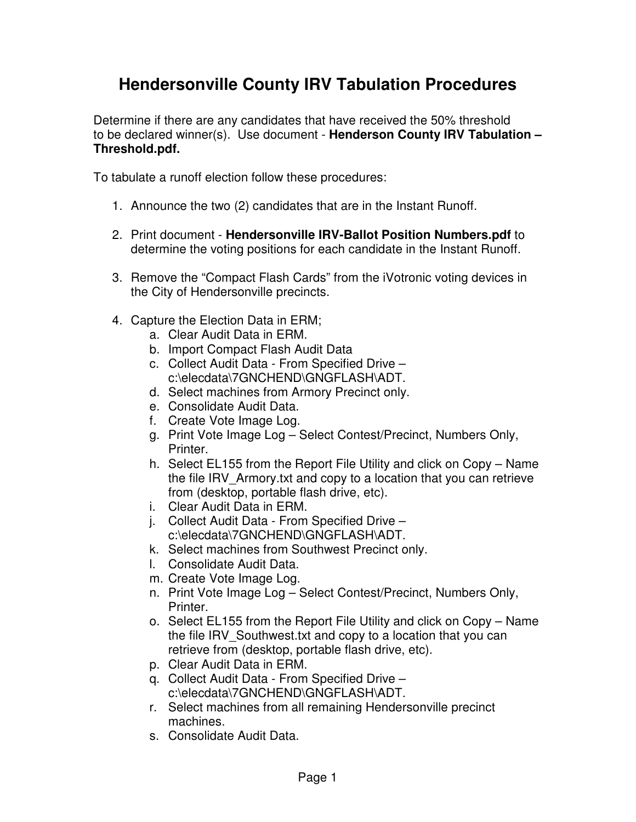## **Hendersonville County IRV Tabulation Procedures**

Determine if there are any candidates that have received the 50% threshold to be declared winner(s). Use document - **Henderson County IRV Tabulation – Threshold.pdf.**

To tabulate a runoff election follow these procedures:

- 1. Announce the two (2) candidates that are in the Instant Runoff.
- 2. Print document **Hendersonville IRV-Ballot Position Numbers.pdf** to determine the voting positions for each candidate in the Instant Runoff.
- 3. Remove the "Compact Flash Cards" from the iVotronic voting devices in the City of Hendersonville precincts.
- 4. Capture the Election Data in ERM;
	- a. Clear Audit Data in ERM.
	- b. Import Compact Flash Audit Data
	- c. Collect Audit Data From Specified Drive c:\elecdata\7GNCHEND\GNGFLASH\ADT.
	- d. Select machines from Armory Precinct only.
	- e. Consolidate Audit Data.
	- f. Create Vote Image Log.
	- g. Print Vote Image Log Select Contest/Precinct, Numbers Only, Printer.
	- h. Select EL155 from the Report File Utility and click on Copy Name the file IRV\_Armory.txt and copy to a location that you can retrieve from (desktop, portable flash drive, etc).
	- i. Clear Audit Data in ERM.
	- j. Collect Audit Data From Specified Drive c:\elecdata\7GNCHEND\GNGFLASH\ADT.
	- k. Select machines from Southwest Precinct only.
	- l. Consolidate Audit Data.
	- m. Create Vote Image Log.
	- n. Print Vote Image Log Select Contest/Precinct, Numbers Only, Printer.
	- o. Select EL155 from the Report File Utility and click on Copy Name the file IRV Southwest.txt and copy to a location that you can retrieve from (desktop, portable flash drive, etc).
	- p. Clear Audit Data in ERM.
	- q. Collect Audit Data From Specified Drive c:\elecdata\7GNCHEND\GNGFLASH\ADT.
	- r. Select machines from all remaining Hendersonville precinct machines.
	- s. Consolidate Audit Data.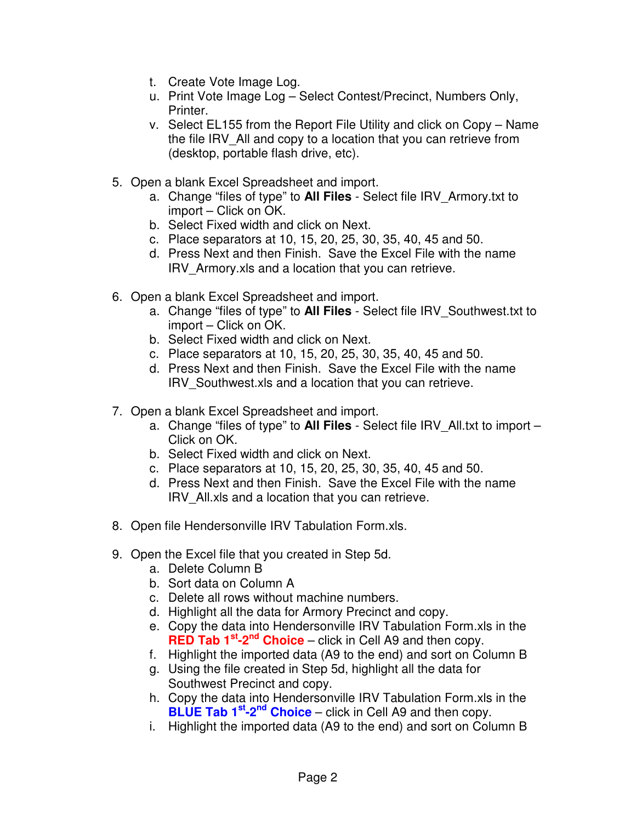- t. Create Vote Image Log.
- u. Print Vote Image Log Select Contest/Precinct, Numbers Only, Printer.
- v. Select EL155 from the Report File Utility and click on Copy Name the file IRV\_All and copy to a location that you can retrieve from (desktop, portable flash drive, etc).
- 5. Open a blank Excel Spreadsheet and import.
	- a. Change "files of type" to **All Files** Select file IRV\_Armory.txt to import – Click on OK.
	- b. Select Fixed width and click on Next.
	- c. Place separators at 10, 15, 20, 25, 30, 35, 40, 45 and 50.
	- d. Press Next and then Finish. Save the Excel File with the name IRV\_Armory.xls and a location that you can retrieve.
- 6. Open a blank Excel Spreadsheet and import.
	- a. Change "files of type" to **All Files** Select file IRV\_Southwest.txt to import – Click on OK.
	- b. Select Fixed width and click on Next.
	- c. Place separators at 10, 15, 20, 25, 30, 35, 40, 45 and 50.
	- d. Press Next and then Finish. Save the Excel File with the name IRV\_Southwest.xls and a location that you can retrieve.
- 7. Open a blank Excel Spreadsheet and import.
	- a. Change "files of type" to **All Files** Select file IRV\_All.txt to import Click on OK.
	- b. Select Fixed width and click on Next.
	- c. Place separators at 10, 15, 20, 25, 30, 35, 40, 45 and 50.
	- d. Press Next and then Finish. Save the Excel File with the name IRV\_All.xls and a location that you can retrieve.
- 8. Open file Hendersonville IRV Tabulation Form.xls.
- 9. Open the Excel file that you created in Step 5d.
	- a. Delete Column B
	- b. Sort data on Column A
	- c. Delete all rows without machine numbers.
	- d. Highlight all the data for Armory Precinct and copy.
	- e. Copy the data into Hendersonville IRV Tabulation Form.xls in the **RED Tab 1<sup>st</sup>-2<sup>nd</sup> Choice** – click in Cell A9 and then copy.
	- f. Highlight the imported data (A9 to the end) and sort on Column B
	- g. Using the file created in Step 5d, highlight all the data for Southwest Precinct and copy.
	- h. Copy the data into Hendersonville IRV Tabulation Form.xls in the **BLUE Tab 1<sup>st</sup>-2<sup>nd</sup> Choice** – click in Cell A9 and then copy.
	- i. Highlight the imported data (A9 to the end) and sort on Column B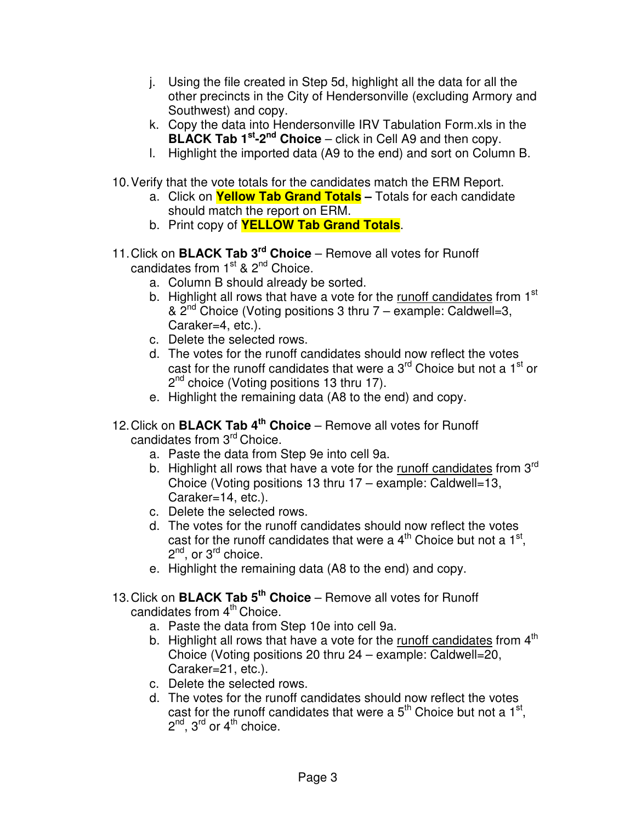- j. Using the file created in Step 5d, highlight all the data for all the other precincts in the City of Hendersonville (excluding Armory and Southwest) and copy.
- k. Copy the data into Hendersonville IRV Tabulation Form.xls in the **BLACK Tab 1<sup>st</sup>-2<sup>nd</sup> Choice** – click in Cell A9 and then copy.
- l. Highlight the imported data (A9 to the end) and sort on Column B.
- 10.Verify that the vote totals for the candidates match the ERM Report.
	- a. Click on **Yellow Tab Grand Totals –** Totals for each candidate should match the report on ERM.
	- b. Print copy of **YELLOW Tab Grand Totals**.
- 11.Click on **BLACK Tab 3 rd Choice** Remove all votes for Runoff candidates from 1<sup>st</sup> & 2<sup>nd</sup> Choice.
	- a. Column B should already be sorted.
	- b. Highlight all rows that have a vote for the runoff candidates from 1<sup>st</sup> & 2<sup>nd</sup> Choice (Voting positions 3 thru 7 – example: Caldwell=3, Caraker=4, etc.).
	- c. Delete the selected rows.
	- d. The votes for the runoff candidates should now reflect the votes cast for the runoff candidates that were a 3<sup>rd</sup> Choice but not a 1<sup>st</sup> or 2<sup>nd</sup> choice (Voting positions 13 thru 17).
	- e. Highlight the remaining data (A8 to the end) and copy.
- 12.Click on **BLACK Tab 4 th Choice** Remove all votes for Runoff candidates from 3<sup>rd</sup> Choice.
	- a. Paste the data from Step 9e into cell 9a.
	- b. Highlight all rows that have a vote for the runoff candidates from 3<sup>rd</sup> Choice (Voting positions 13 thru 17 – example: Caldwell=13, Caraker=14, etc.).
	- c. Delete the selected rows.
	- d. The votes for the runoff candidates should now reflect the votes cast for the runoff candidates that were a  $4^{\text{th}}$  Choice but not a  $1^{\text{st}}$ , 2<sup>nd</sup>, or 3<sup>rd</sup> choice.
	- e. Highlight the remaining data (A8 to the end) and copy.
- 13.Click on **BLACK Tab 5 th Choice** Remove all votes for Runoff candidates from 4<sup>th</sup> Choice.
	- a. Paste the data from Step 10e into cell 9a.
	- b. Highlight all rows that have a vote for the runoff candidates from 4<sup>th</sup> Choice (Voting positions 20 thru 24 – example: Caldwell=20, Caraker=21, etc.).
	- c. Delete the selected rows.
	- d. The votes for the runoff candidates should now reflect the votes cast for the runoff candidates that were a  $5<sup>th</sup>$  Choice but not a 1<sup>st</sup>, 2<sup>nd</sup>, 3<sup>rd</sup> or 4<sup>th</sup> choice.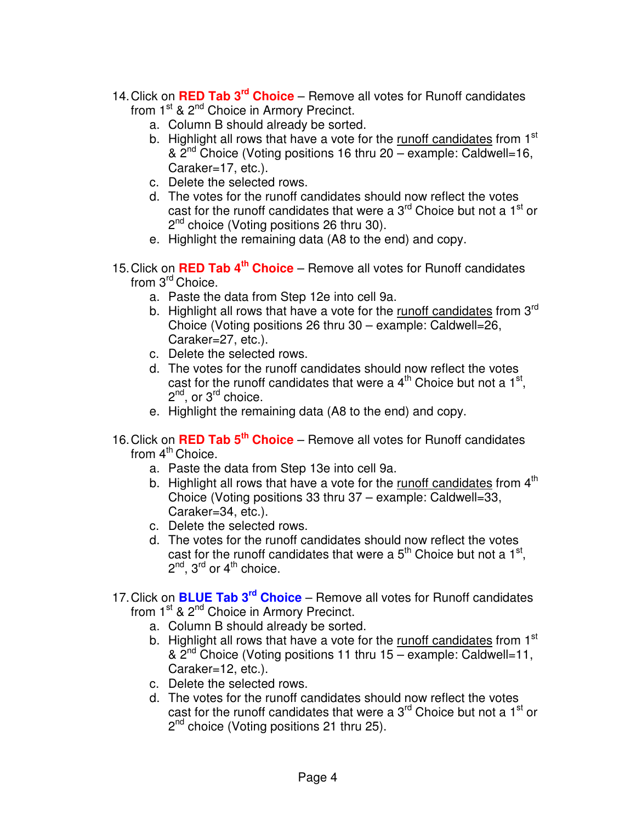- 14.Click on **RED Tab 3 rd Choice** Remove all votes for Runoff candidates from 1<sup>st</sup> & 2<sup>nd</sup> Choice in Armory Precinct.
	- a. Column B should already be sorted.
	- b. Highlight all rows that have a vote for the runoff candidates from 1<sup>st</sup> & 2<sup>nd</sup> Choice (Voting positions 16 thru 20 – example: Caldwell=16, Caraker=17, etc.).
	- c. Delete the selected rows.
	- d. The votes for the runoff candidates should now reflect the votes cast for the runoff candidates that were a 3<sup>rd</sup> Choice but not a 1<sup>st</sup> or 2<sup>nd</sup> choice (Voting positions 26 thru 30).
	- e. Highlight the remaining data (A8 to the end) and copy.
- 15.Click on **RED Tab 4 th Choice** Remove all votes for Runoff candidates from 3<sup>rd</sup> Choice.
	- a. Paste the data from Step 12e into cell 9a.
	- b. Highlight all rows that have a vote for the runoff candidates from 3<sup>rd</sup> Choice (Voting positions 26 thru 30 – example: Caldwell=26, Caraker=27, etc.).
	- c. Delete the selected rows.
	- d. The votes for the runoff candidates should now reflect the votes cast for the runoff candidates that were a  $4<sup>th</sup>$  Choice but not a 1<sup>st</sup>, 2<sup>nd</sup>, or 3<sup>rd</sup> choice.
	- e. Highlight the remaining data (A8 to the end) and copy.
- 16.Click on **RED Tab 5 th Choice** Remove all votes for Runoff candidates from 4<sup>th</sup> Choice.
	- a. Paste the data from Step 13e into cell 9a.
	- b. Highlight all rows that have a vote for the runoff candidates from 4<sup>th</sup> Choice (Voting positions 33 thru 37 – example: Caldwell=33, Caraker=34, etc.).
	- c. Delete the selected rows.
	- d. The votes for the runoff candidates should now reflect the votes cast for the runoff candidates that were a  $5<sup>th</sup>$  Choice but not a 1<sup>st</sup>,  $2^{nd}$ ,  $3^{rd}$  or  $4^{th}$  choice.
- 17. Click on **BLUE Tab 3<sup>rd</sup> Choice** Remove all votes for Runoff candidates from 1<sup>st</sup> & 2<sup>nd</sup> Choice in Armory Precinct.
	- a. Column B should already be sorted.
	- b. Highlight all rows that have a vote for the runoff candidates from 1<sup>st</sup> &  $2<sup>nd</sup>$  Choice (Voting positions 11 thru 15 – example: Caldwell=11, Caraker=12, etc.).
	- c. Delete the selected rows.
	- d. The votes for the runoff candidates should now reflect the votes cast for the runoff candidates that were a 3<sup>rd</sup> Choice but not a 1<sup>st</sup> or 2<sup>nd</sup> choice (Voting positions 21 thru 25).